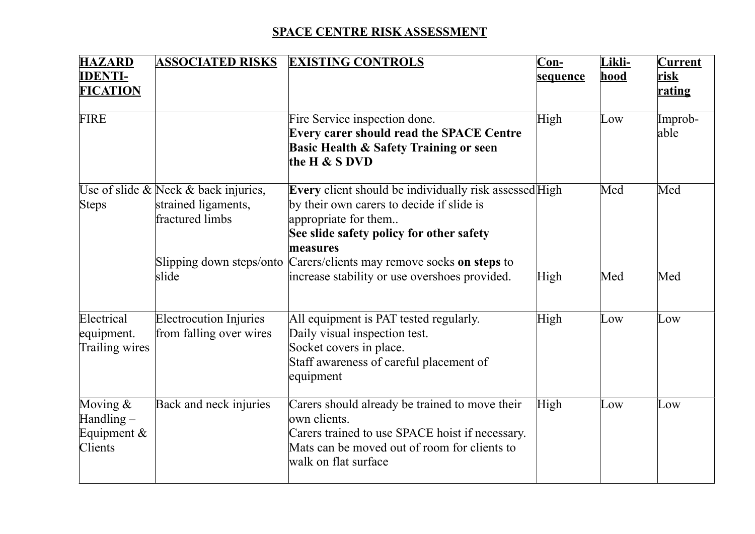## **SPACE CENTRE RISK ASSESSMENT**

| <b>HAZARD</b>                                                  | <b>ASSOCIATED RISKS</b>                                                              | <b>EXISTING CONTROLS</b>                                                                                                                                                                   | $Con_{2}$ | Likli-      | <b>Current</b>  |
|----------------------------------------------------------------|--------------------------------------------------------------------------------------|--------------------------------------------------------------------------------------------------------------------------------------------------------------------------------------------|-----------|-------------|-----------------|
| <b>IDENTI-</b>                                                 |                                                                                      |                                                                                                                                                                                            | sequence  | <u>hood</u> | <u>risk</u>     |
| <b>FICATION</b>                                                |                                                                                      |                                                                                                                                                                                            |           |             | rating          |
| <b>FIRE</b>                                                    |                                                                                      | Fire Service inspection done.<br>Every carer should read the SPACE Centre<br><b>Basic Health &amp; Safety Training or seen</b><br>the H & S DVD                                            | High      | Low         | Improb-<br>able |
| <b>Steps</b>                                                   | Use of slide $\&$ Neck $\&$ back injuries,<br>strained ligaments,<br>fractured limbs | Every client should be individually risk assessed High<br>by their own carers to decide if slide is<br>appropriate for them<br>See slide safety policy for other safety<br>measures        |           | Med         | Med             |
|                                                                | Slipping down steps/onto<br>slide                                                    | Carers/clients may remove socks on steps to<br>increase stability or use overshoes provided.                                                                                               | High      | Med         | Med             |
| Electrical<br>equipment.<br>Trailing wires                     | <b>Electrocution Injuries</b><br>from falling over wires                             | All equipment is PAT tested regularly.<br>Daily visual inspection test.<br>Socket covers in place.<br>Staff awareness of careful placement of<br>equipment                                 | High      | Low         | Low             |
| Moving $&$<br>$\text{Handling} -$<br>Equipment $\&$<br>Clients | Back and neck injuries                                                               | Carers should already be trained to move their<br>lown clients.<br>Carers trained to use SPACE hoist if necessary.<br>Mats can be moved out of room for clients to<br>walk on flat surface | High      | Low         | Low             |